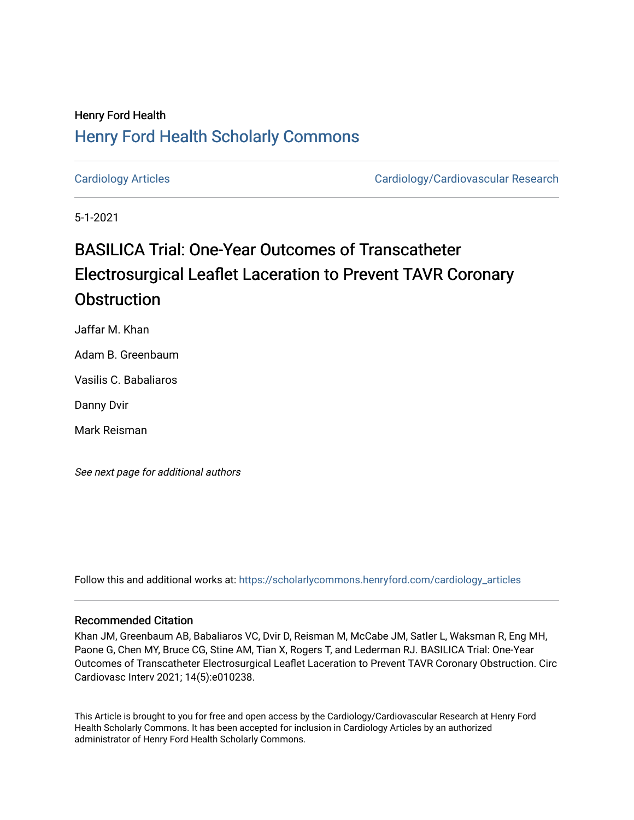# Henry Ford Health [Henry Ford Health Scholarly Commons](https://scholarlycommons.henryford.com/)

[Cardiology Articles](https://scholarlycommons.henryford.com/cardiology_articles) [Cardiology/Cardiovascular Research](https://scholarlycommons.henryford.com/cardiology) 

5-1-2021

# BASILICA Trial: One-Year Outcomes of Transcatheter Electrosurgical Leaflet Laceration to Prevent TAVR Coronary **Obstruction**

Jaffar M. Khan

Adam B. Greenbaum

Vasilis C. Babaliaros

Danny Dvir

Mark Reisman

See next page for additional authors

Follow this and additional works at: [https://scholarlycommons.henryford.com/cardiology\\_articles](https://scholarlycommons.henryford.com/cardiology_articles?utm_source=scholarlycommons.henryford.com%2Fcardiology_articles%2F755&utm_medium=PDF&utm_campaign=PDFCoverPages)

### Recommended Citation

Khan JM, Greenbaum AB, Babaliaros VC, Dvir D, Reisman M, McCabe JM, Satler L, Waksman R, Eng MH, Paone G, Chen MY, Bruce CG, Stine AM, Tian X, Rogers T, and Lederman RJ. BASILICA Trial: One-Year Outcomes of Transcatheter Electrosurgical Leaflet Laceration to Prevent TAVR Coronary Obstruction. Circ Cardiovasc Interv 2021; 14(5):e010238.

This Article is brought to you for free and open access by the Cardiology/Cardiovascular Research at Henry Ford Health Scholarly Commons. It has been accepted for inclusion in Cardiology Articles by an authorized administrator of Henry Ford Health Scholarly Commons.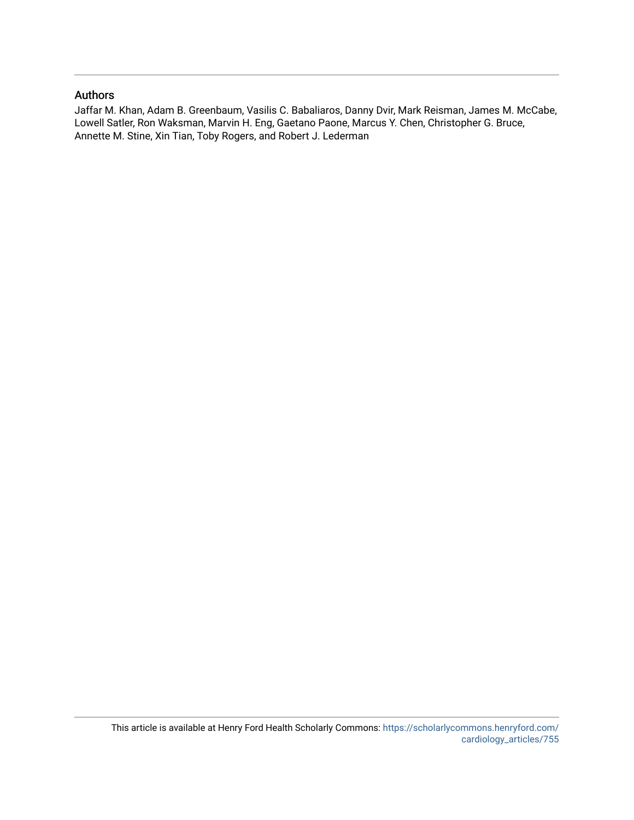# Authors

Jaffar M. Khan, Adam B. Greenbaum, Vasilis C. Babaliaros, Danny Dvir, Mark Reisman, James M. McCabe, Lowell Satler, Ron Waksman, Marvin H. Eng, Gaetano Paone, Marcus Y. Chen, Christopher G. Bruce, Annette M. Stine, Xin Tian, Toby Rogers, and Robert J. Lederman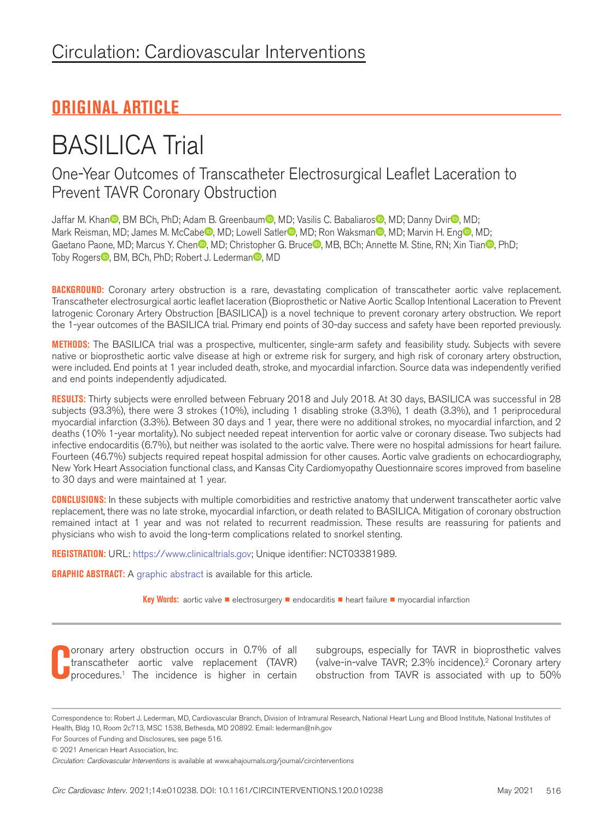# **ORIGINAL ARTICLE**

# BASILICA Trial

One-Year Outcomes of Transcatheter Electrosurgical Leaflet Laceration to Prevent TAVR Coronary Obstruction

Jaffar M. Khan<sup>o</sup>[,](https://orcid.org/0000-0002-9438-0846) BM BCh, PhD; Adam B. Greenbaum<sup>o</sup>, MD; Vasilis C. Babaliaros<sup>o</sup>, MD; Danny Dvir<sup>o</sup>, MD; Mark R[e](https://orcid.org/0000-0003-0452-2327)isman[,](https://orcid.org/0000-0002-0334-6504) MD; James M. McCabe<sup>n</sup>, MD; Lowell Satler<sup>n</sup>, MD; Ron Waksman<sup>n</sup>, MD; Marvin H. Eng<sup>n</sup>, MD; Gaetano Paone[,](https://orcid.org/0000-0002-7442-4303) MD; Marcus Y. Che[n](https://orcid.org/0000-0003-1896-2462) , MD; Christopher G. Bruce , MB, BCh; Annette M. Stine, RN; Xin Tian , PhD; Toby Roger[s](https://orcid.org/0000-0002-6043-3137)<sup>1</sup>[,](https://orcid.org/0000-0003-1202-6673) BM, BCh, PhD; Robert J. Lederman<sup>D</sup>, MD

**BACKGROUND:** Coronary artery obstruction is a rare, devastating complication of transcatheter aortic valve replacement. Transcatheter electrosurgical aortic leaflet laceration (Bioprosthetic or Native Aortic Scallop Intentional Laceration to Prevent Iatrogenic Coronary Artery Obstruction [BASILICA]) is a novel technique to prevent coronary artery obstruction. We report the 1-year outcomes of the BASILICA trial. Primary end points of 30-day success and safety have been reported previously.

**METHODS:** The BASILICA trial was a prospective, multicenter, single-arm safety and feasibility study. Subjects with severe native or bioprosthetic aortic valve disease at high or extreme risk for surgery, and high risk of coronary artery obstruction, were included. End points at 1 year included death, stroke, and myocardial infarction. Source data was independently verified and end points independently adjudicated.

**RESULTS:** Thirty subjects were enrolled between February 2018 and July 2018. At 30 days, BASILICA was successful in 28 subjects (93.3%), there were 3 strokes (10%), including 1 disabling stroke (3.3%), 1 death (3.3%), and 1 periprocedural myocardial infarction (3.3%). Between 30 days and 1 year, there were no additional strokes, no myocardial infarction, and 2 deaths (10% 1-year mortality). No subject needed repeat intervention for aortic valve or coronary disease. Two subjects had infective endocarditis (6.7%), but neither was isolated to the aortic valve. There were no hospital admissions for heart failure. Fourteen (46.7%) subjects required repeat hospital admission for other causes. Aortic valve gradients on echocardiography, New York Heart Association functional class, and Kansas City Cardiomyopathy Questionnaire scores improved from baseline to 30 days and were maintained at 1 year.

**CONCLUSIONS:** In these subjects with multiple comorbidities and restrictive anatomy that underwent transcatheter aortic valve replacement, there was no late stroke, myocardial infarction, or death related to BASILICA. Mitigation of coronary obstruction remained intact at 1 year and was not related to recurrent readmission. These results are reassuring for patients and physicians who wish to avoid the long-term complications related to snorkel stenting.

**REGISTRATION:** URL: [https://www.clinicaltrials.gov;](https://www.clinicaltrials.gov) Unique identifier: NCT03381989.

**GRAPHIC ABSTRACT:** A [graphic abstract](http://dx.doi.org/10.1161/CIRCINTERVENTIONS.120.010238) is available for this article.

**Key Words:** aortic valve ■ electrosurgery ■ endocarditis ■ heart failure ■ myocardial infarction

**C** oronary artery obstruction occurs in 0.7% of all transcatheter aortic valve replacement (TAVR) procedures.1 The incidence is higher in certain

subgroups, especially for TAVR in bioprosthetic valves (valve-in-valve TAVR; 2.3% incidence).2 Coronary artery obstruction from TAVR is associated with up to 50%

Correspondence to: Robert J. Lederman, MD, Cardiovascular Branch, Division of Intramural Research, National Heart Lung and Blood Institute, National Institutes of Health, Bldg 10, Room 2c713, MSC 1538, Bethesda, MD 20892. Email: [lederman@nih.gov](mailto:lederman@nih.gov)

For Sources of Funding and Disclosures, see page 516.

© 2021 American Heart Association, Inc.

*Circulation: Cardiovascular Interventions* is available at www.ahajournals.org/journal/circinterventions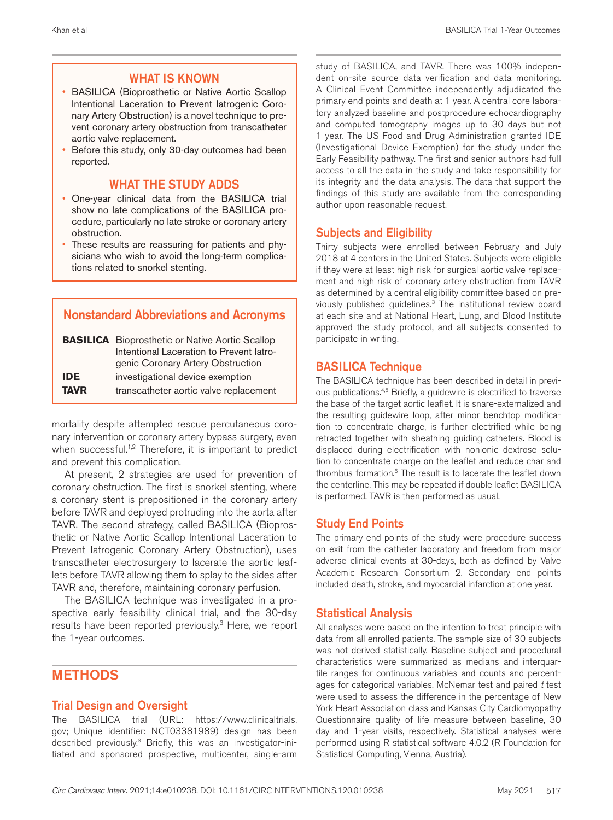#### WHAT IS KNOWN

- BASILICA (Bioprosthetic or Native Aortic Scallop Intentional Laceration to Prevent Iatrogenic Coronary Artery Obstruction) is a novel technique to prevent coronary artery obstruction from transcatheter aortic valve replacement.
- Before this study, only 30-day outcomes had been reported.

## WHAT THE STUDY ADDS

- One-year clinical data from the BASILICA trial show no late complications of the BASILICA procedure, particularly no late stroke or coronary artery obstruction.
- These results are reassuring for patients and physicians who wish to avoid the long-term complications related to snorkel stenting.

# Nonstandard Abbreviations and Acronyms

|             | <b>BASILICA</b> Bioprosthetic or Native Aortic Scallop |
|-------------|--------------------------------------------------------|
|             | Intentional Laceration to Prevent latro-               |
|             | genic Coronary Artery Obstruction                      |
| <b>IDE</b>  | investigational device exemption                       |
| <b>TAVR</b> | transcatheter aortic valve replacement                 |

mortality despite attempted rescue percutaneous coronary intervention or coronary artery bypass surgery, even when successful.<sup>1,2</sup> Therefore, it is important to predict and prevent this complication.

At present, 2 strategies are used for prevention of coronary obstruction. The first is snorkel stenting, where a coronary stent is prepositioned in the coronary artery before TAVR and deployed protruding into the aorta after TAVR. The second strategy, called BASILICA (Bioprosthetic or Native Aortic Scallop Intentional Laceration to Prevent Iatrogenic Coronary Artery Obstruction), uses transcatheter electrosurgery to lacerate the aortic leaflets before TAVR allowing them to splay to the sides after TAVR and, therefore, maintaining coronary perfusion.

The BASILICA technique was investigated in a prospective early feasibility clinical trial, and the 30-day results have been reported previously.<sup>3</sup> Here, we report the 1-year outcomes.

# **METHODS**

#### Trial Design and Oversight

The BASILICA trial (URL: [https://www.clinicaltrials.](https://www.clinicaltrials.gov@line 2@) [gov](https://www.clinicaltrials.gov@line 2@); Unique identifier: NCT03381989) design has been described previously.<sup>3</sup> Briefly, this was an investigator-initiated and sponsored prospective, multicenter, single-arm study of BASILICA, and TAVR. There was 100% independent on-site source data verification and data monitoring. A Clinical Event Committee independently adjudicated the primary end points and death at 1 year. A central core laboratory analyzed baseline and postprocedure echocardiography and computed tomography images up to 30 days but not 1 year. The US Food and Drug Administration granted IDE (Investigational Device Exemption) for the study under the Early Feasibility pathway. The first and senior authors had full access to all the data in the study and take responsibility for its integrity and the data analysis. The data that support the findings of this study are available from the corresponding author upon reasonable request.

#### Subjects and Eligibility

Thirty subjects were enrolled between February and July 2018 at 4 centers in the United States. Subjects were eligible if they were at least high risk for surgical aortic valve replacement and high risk of coronary artery obstruction from TAVR as determined by a central eligibility committee based on previously published guidelines.<sup>3</sup> The institutional review board at each site and at National Heart, Lung, and Blood Institute approved the study protocol, and all subjects consented to participate in writing.

# BASILICA Technique

The BASILICA technique has been described in detail in previous publications.<sup>4,5</sup> Briefly, a guidewire is electrified to traverse the base of the target aortic leaflet. It is snare-externalized and the resulting guidewire loop, after minor benchtop modification to concentrate charge, is further electrified while being retracted together with sheathing guiding catheters. Blood is displaced during electrification with nonionic dextrose solution to concentrate charge on the leaflet and reduce char and thrombus formation.6 The result is to lacerate the leaflet down the centerline. This may be repeated if double leaflet BASILICA is performed. TAVR is then performed as usual.

#### Study End Points

The primary end points of the study were procedure success on exit from the catheter laboratory and freedom from major adverse clinical events at 30-days, both as defined by Valve Academic Research Consortium 2. Secondary end points included death, stroke, and myocardial infarction at one year.

#### Statistical Analysis

All analyses were based on the intention to treat principle with data from all enrolled patients. The sample size of 30 subjects was not derived statistically. Baseline subject and procedural characteristics were summarized as medians and interquartile ranges for continuous variables and counts and percentages for categorical variables. McNemar test and paired *t* test were used to assess the difference in the percentage of New York Heart Association class and Kansas City Cardiomyopathy Questionnaire quality of life measure between baseline, 30 day and 1-year visits, respectively. Statistical analyses were performed using R statistical software 4.0.2 (R Foundation for Statistical Computing, Vienna, Austria).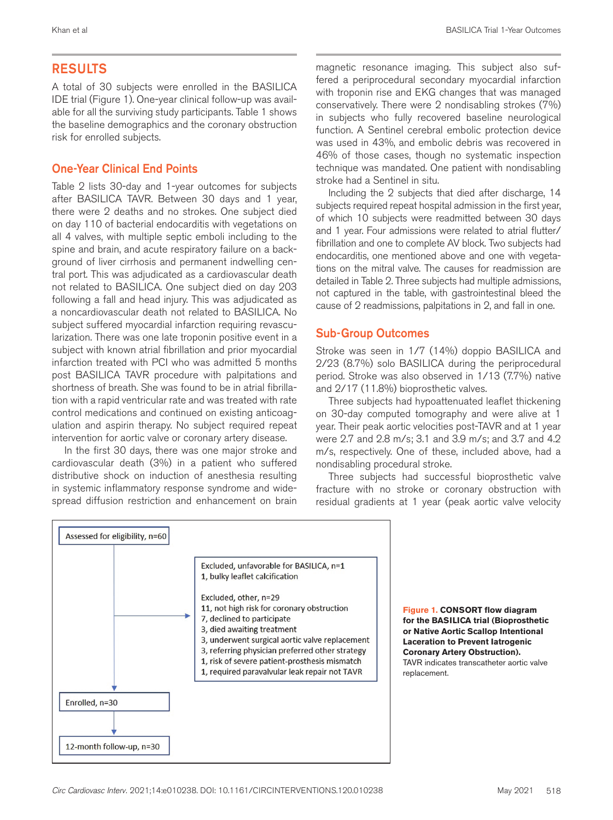# RESULTS

A total of 30 subjects were enrolled in the BASILICA IDE trial (Figure 1). One-year clinical follow-up was available for all the surviving study participants. Table 1 shows the baseline demographics and the coronary obstruction risk for enrolled subjects.

# One-Year Clinical End Points

Table 2 lists 30-day and 1-year outcomes for subjects after BASILICA TAVR. Between 30 days and 1 year, there were 2 deaths and no strokes. One subject died on day 110 of bacterial endocarditis with vegetations on all 4 valves, with multiple septic emboli including to the spine and brain, and acute respiratory failure on a background of liver cirrhosis and permanent indwelling central port. This was adjudicated as a cardiovascular death not related to BASILICA. One subject died on day 203 following a fall and head injury. This was adjudicated as a noncardiovascular death not related to BASILICA. No subject suffered myocardial infarction requiring revascularization. There was one late troponin positive event in a subject with known atrial fibrillation and prior myocardial infarction treated with PCI who was admitted 5 months post BASILICA TAVR procedure with palpitations and shortness of breath. She was found to be in atrial fibrillation with a rapid ventricular rate and was treated with rate control medications and continued on existing anticoagulation and aspirin therapy. No subject required repeat intervention for aortic valve or coronary artery disease.

In the first 30 days, there was one major stroke and cardiovascular death (3%) in a patient who suffered distributive shock on induction of anesthesia resulting in systemic inflammatory response syndrome and widespread diffusion restriction and enhancement on brain magnetic resonance imaging. This subject also suffered a periprocedural secondary myocardial infarction with troponin rise and EKG changes that was managed conservatively. There were 2 nondisabling strokes (7%) in subjects who fully recovered baseline neurological function. A Sentinel cerebral embolic protection device was used in 43%, and embolic debris was recovered in 46% of those cases, though no systematic inspection technique was mandated. One patient with nondisabling stroke had a Sentinel in situ.

Including the 2 subjects that died after discharge, 14 subjects required repeat hospital admission in the first year, of which 10 subjects were readmitted between 30 days and 1 year. Four admissions were related to atrial flutter/ fibrillation and one to complete AV block. Two subjects had endocarditis, one mentioned above and one with vegetations on the mitral valve. The causes for readmission are detailed in Table 2. Three subjects had multiple admissions, not captured in the table, with gastrointestinal bleed the cause of 2 readmissions, palpitations in 2, and fall in one.

#### Sub-Group Outcomes

Stroke was seen in 1/7 (14%) doppio BASILICA and 2/23 (8.7%) solo BASILICA during the periprocedural period. Stroke was also observed in 1/13 (7.7%) native and 2/17 (11.8%) bioprosthetic valves.

Three subjects had hypoattenuated leaflet thickening on 30-day computed tomography and were alive at 1 year. Their peak aortic velocities post-TAVR and at 1 year were 2.7 and 2.8 m/s; 3.1 and 3.9 m/s; and 3.7 and 4.2 m/s, respectively. One of these, included above, had a nondisabling procedural stroke.

Three subjects had successful bioprosthetic valve fracture with no stroke or coronary obstruction with residual gradients at 1 year (peak aortic valve velocity



**Figure 1. CONSORT flow diagram for the BASILICA trial (Bioprosthetic or Native Aortic Scallop Intentional Laceration to Prevent Iatrogenic Coronary Artery Obstruction).** TAVR indicates transcatheter aortic valve replacement.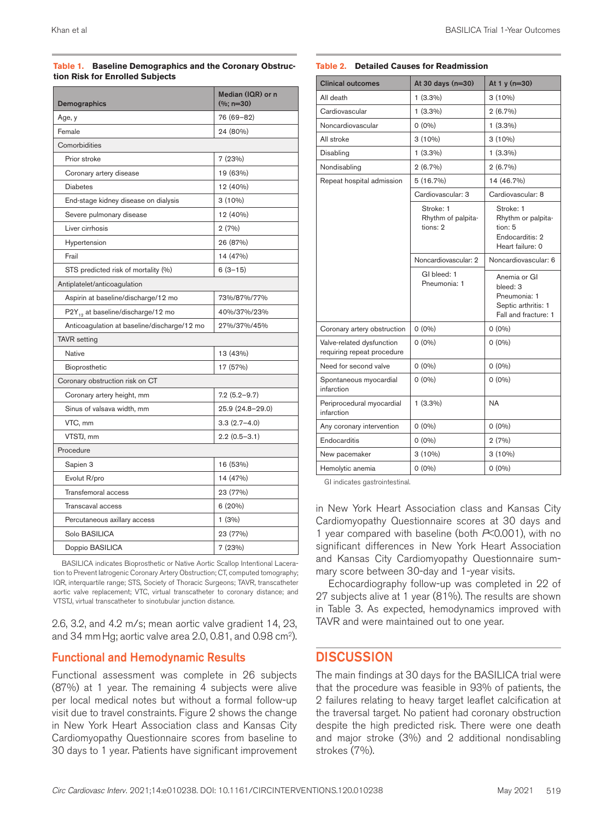#### **Table 1. Baseline Demographics and the Coronary Obstruction Risk for Enrolled Subjects**

| Demographics                                  | Median (IQR) or n<br>$%$ ; n=30) |
|-----------------------------------------------|----------------------------------|
| Age, y                                        | 76 (69–82)                       |
| Female                                        | 24 (80%)                         |
| Comorbidities                                 |                                  |
| Prior stroke                                  | 7(23%)                           |
| Coronary artery disease                       | 19 (63%)                         |
| <b>Diabetes</b>                               | 12 (40%)                         |
| End-stage kidney disease on dialysis          | $3(10\%)$                        |
| Severe pulmonary disease                      | 12 (40%)                         |
| Liver cirrhosis                               | 2(7%)                            |
| Hypertension                                  | 26 (87%)                         |
| Frail                                         | 14 (47%)                         |
| STS predicted risk of mortality (%)           | $6(3-15)$                        |
| Antiplatelet/anticoagulation                  |                                  |
| Aspirin at baseline/discharge/12 mo           | 73%/87%/77%                      |
| P2Y <sub>12</sub> at baseline/discharge/12 mo | 40%/37%/23%                      |
| Anticoagulation at baseline/discharge/12 mo   | 27%/37%/45%                      |
| <b>TAVR</b> setting                           |                                  |
| <b>Native</b>                                 | 13 (43%)                         |
| Bioprosthetic                                 | 17 (57%)                         |
| Coronary obstruction risk on CT               |                                  |
| Coronary artery height, mm                    | $7.2(5.2-9.7)$                   |
| Sinus of valsava width, mm                    | 25.9 (24.8-29.0)                 |
| VTC, mm                                       | $3.3(2.7-4.0)$                   |
| VTSTJ, mm                                     | $2.2(0.5-3.1)$                   |
| Procedure                                     |                                  |
| Sapien 3                                      | 16 (53%)                         |
| Evolut R/pro                                  | 14 (47%)                         |
| Transfemoral access                           | 23 (77%)                         |
| Transcaval access                             | 6(20%)                           |
| Percutaneous axillary access                  | 1(3%)                            |
| Solo BASILICA                                 | 23 (77%)                         |
| Doppio BASILICA                               | 7 (23%)                          |

BASILICA indicates Bioprosthetic or Native Aortic Scallop Intentional Laceration to Prevent Iatrogenic Coronary Artery Obstruction; CT, computed tomography; IQR, interquartile range; STS, Society of Thoracic Surgeons; TAVR, transcatheter aortic valve replacement; VTC, virtual transcatheter to coronary distance; and VTSTJ, virtual transcatheter to sinotubular junction distance.

2.6, 3.2, and 4.2 m/s; mean aortic valve gradient 14, 23, and 34 mm Hg; aortic valve area 2.0, 0.81, and 0.98 cm<sup>2</sup>).

#### Functional and Hemodynamic Results

Functional assessment was complete in 26 subjects (87%) at 1 year. The remaining 4 subjects were alive per local medical notes but without a formal follow-up visit due to travel constraints. Figure 2 shows the change in New York Heart Association class and Kansas City Cardiomyopathy Questionnaire scores from baseline to 30 days to 1 year. Patients have significant improvement

#### **Table 2. Detailed Causes for Readmission**

| <b>Clinical outcomes</b>                                | At 30 days (n=30)                           | At 1 y (n=30)                                                                           |
|---------------------------------------------------------|---------------------------------------------|-----------------------------------------------------------------------------------------|
| All death                                               | $1(3.3\%)$                                  | $3(10\%)$                                                                               |
| Cardiovascular                                          | $1(3.3\%)$                                  | $2(6.7\%)$                                                                              |
| Noncardiovascular                                       | $0(0\%)$                                    | $1(3.3\%)$                                                                              |
| All stroke                                              | $3(10\%)$                                   | $3(10\%)$                                                                               |
| Disabling                                               | $1(3.3\%)$                                  | $1(3.3\%)$                                                                              |
| Nondisabling                                            | $2(6.7\%)$                                  | $2(6.7\%)$                                                                              |
| Repeat hospital admission                               | 5 (16.7%)                                   | 14 (46.7%)                                                                              |
|                                                         | Cardiovascular: 3                           | Cardiovascular: 8                                                                       |
|                                                         | Stroke: 1<br>Rhythm of palpita-<br>tions: 2 | Stroke: 1<br>Rhythm or palpita-<br>tion: 5<br>Endocarditis: 2<br>Heart failure: 0       |
|                                                         | Noncardiovascular: 2                        | Noncardiovascular: 6                                                                    |
|                                                         | GI bleed: 1<br>Pneumonia: 1                 | Anemia or GI<br>bleed: 3<br>Pneumonia: 1<br>Septic arthritis: 1<br>Fall and fracture: 1 |
| Coronary artery obstruction                             | $0(0\%)$                                    | $0(0\%)$                                                                                |
| Valve-related dysfunction<br>requiring repeat procedure | $0(0\%)$                                    | $0(0\%)$                                                                                |
| Need for second valve                                   | $0(0\%)$                                    | $0(0\%)$                                                                                |
| Spontaneous myocardial<br>infarction                    | $0(0\%)$                                    | $0(0\%)$                                                                                |
| Periprocedural myocardial<br>infarction                 | $1(3.3\%)$                                  | <b>NA</b>                                                                               |
| Any coronary intervention                               | $0(0\%)$                                    | $0(0\%)$                                                                                |
| Endocarditis                                            | $0(0\%)$                                    | 2(7%)                                                                                   |
| New pacemaker                                           | $3(10\%)$                                   | $3(10\%)$                                                                               |
| Hemolytic anemia                                        | $0(0\%)$                                    | $0(0\%)$                                                                                |

GI indicates gastrointestinal.

in New York Heart Association class and Kansas City Cardiomyopathy Questionnaire scores at 30 days and 1 year compared with baseline (both *P*<0.001), with no significant differences in New York Heart Association and Kansas City Cardiomyopathy Questionnaire summary score between 30-day and 1-year visits.

Echocardiography follow-up was completed in 22 of 27 subjects alive at 1 year (81%). The results are shown in Table 3. As expected, hemodynamics improved with TAVR and were maintained out to one year.

#### **DISCUSSION**

The main findings at 30 days for the BASILICA trial were that the procedure was feasible in 93% of patients, the 2 failures relating to heavy target leaflet calcification at the traversal target. No patient had coronary obstruction despite the high predicted risk. There were one death and major stroke (3%) and 2 additional nondisabling strokes (7%).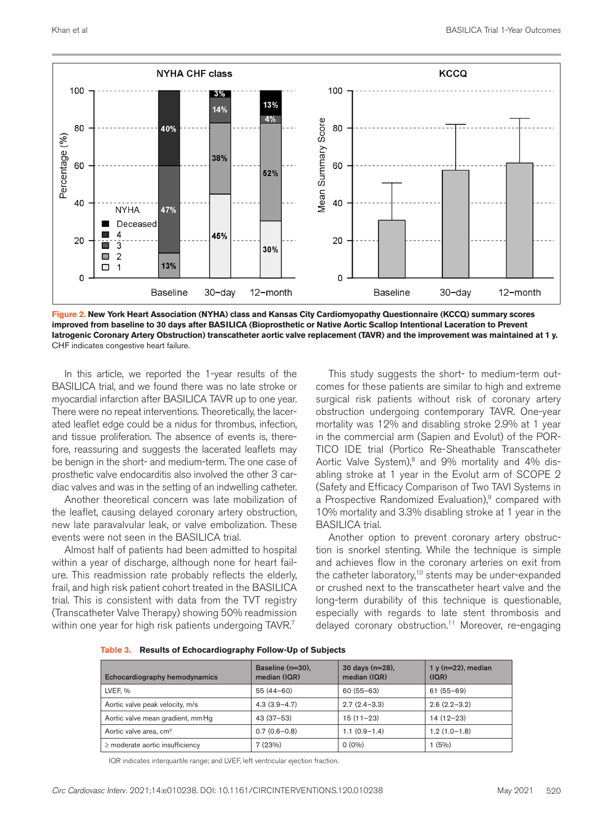

**Figure 2. New York Heart Association (NYHA) class and Kansas City Cardiomyopathy Questionnaire (KCCQ) summary scores improved from baseline to 30 days after BASILICA (Bioprosthetic or Native Aortic Scallop Intentional Laceration to Prevent Iatrogenic Coronary Artery Obstruction) transcatheter aortic valve replacement (TAVR) and the improvement was maintained at 1 y.** CHF indicates congestive heart failure.

In this article, we reported the 1-year results of the BASILICA trial, and we found there was no late stroke or myocardial infarction after BASILICA TAVR up to one year. There were no repeat interventions. Theoretically, the lacerated leaflet edge could be a nidus for thrombus, infection, and tissue proliferation. The absence of events is, therefore, reassuring and suggests the lacerated leaflets may be benign in the short- and medium-term. The one case of prosthetic valve endocarditis also involved the other 3 cardiac valves and was in the setting of an indwelling catheter.

Another theoretical concern was late mobilization of the leaflet, causing delayed coronary artery obstruction, new late paravalvular leak, or valve embolization. These events were not seen in the BASILICA trial.

Almost half of patients had been admitted to hospital within a year of discharge, although none for heart failure. This readmission rate probably reflects the elderly, frail, and high risk patient cohort treated in the BASILICA trial. This is consistent with data from the TVT registry (Transcatheter Valve Therapy) showing 50% readmission within one year for high risk patients undergoing TAVR.<sup>7</sup>

This study suggests the short- to medium-term outcomes for these patients are similar to high and extreme surgical risk patients without risk of coronary artery obstruction undergoing contemporary TAVR. One-year mortality was 12% and disabling stroke 2.9% at 1 year in the commercial arm (Sapien and Evolut) of the POR-TICO IDE trial (Portico Re-Sheathable Transcatheter Aortic Valve System), $8$  and 9% mortality and 4% disabling stroke at 1 year in the Evolut arm of SCOPE 2 (Safety and Efficacy Comparison of Two TAVI Systems in a Prospective Randomized Evaluation), $9$  compared with 10% mortality and 3.3% disabling stroke at 1 year in the BASILICA trial.

Another option to prevent coronary artery obstruction is snorkel stenting. While the technique is simple and achieves flow in the coronary arteries on exit from the catheter laboratory,<sup>10</sup> stents may be under-expanded or crushed next to the transcatheter heart valve and the long-term durability of this technique is questionable, especially with regards to late stent thrombosis and delayed coronary obstruction.<sup>11</sup> Moreover, re-engaging

|  |  | Table 3. Results of Echocardiography Follow-Up of Subjects |  |  |
|--|--|------------------------------------------------------------|--|--|
|--|--|------------------------------------------------------------|--|--|

| Echocardiography hemodynamics        | Baseline $(n=30)$ .<br>median (IQR) | 30 days $(n=28)$ ,<br>median (IQR) | $1 y (n=22)$ , median<br>(IQR) |
|--------------------------------------|-------------------------------------|------------------------------------|--------------------------------|
| LVEF. %                              | $55(44-60)$                         | $60(55 - 63)$                      | $61(55-69)$                    |
| Aortic valve peak velocity, m/s      | $4.3(3.9 - 4.7)$                    | $2.7(2.4-3.3)$                     | $2.6(2.2-3.2)$                 |
| Aortic valve mean gradient, mm Hg    | $43(37-53)$                         | $15(11-23)$                        | $14(12-23)$                    |
| Aortic valve area, cm <sup>2</sup>   | $0.7(0.6-0.8)$                      | $1.1(0.9-1.4)$                     | $1.2(1.0-1.8)$                 |
| $\geq$ moderate aortic insufficiency | 7(23%)                              | $O(0\%)$                           | 1(5%)                          |

IQR indicates interquartile range; and LVEF, left ventricular ejection fraction.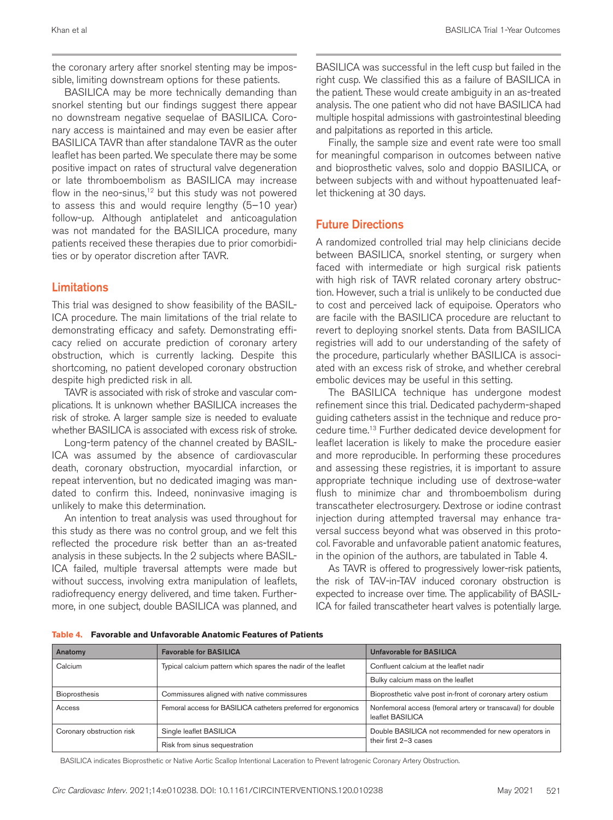the coronary artery after snorkel stenting may be impossible, limiting downstream options for these patients.

BASILICA may be more technically demanding than snorkel stenting but our findings suggest there appear no downstream negative sequelae of BASILICA. Coronary access is maintained and may even be easier after BASILICA TAVR than after standalone TAVR as the outer leaflet has been parted. We speculate there may be some positive impact on rates of structural valve degeneration or late thromboembolism as BASILICA may increase flow in the neo-sinus, $12$  but this study was not powered to assess this and would require lengthy (5–10 year) follow-up. Although antiplatelet and anticoagulation was not mandated for the BASILICA procedure, many patients received these therapies due to prior comorbidities or by operator discretion after TAVR.

#### Limitations

This trial was designed to show feasibility of the BASIL-ICA procedure. The main limitations of the trial relate to demonstrating efficacy and safety. Demonstrating efficacy relied on accurate prediction of coronary artery obstruction, which is currently lacking. Despite this shortcoming, no patient developed coronary obstruction despite high predicted risk in all.

TAVR is associated with risk of stroke and vascular complications. It is unknown whether BASILICA increases the risk of stroke. A larger sample size is needed to evaluate whether BASILICA is associated with excess risk of stroke.

Long-term patency of the channel created by BASIL-ICA was assumed by the absence of cardiovascular death, coronary obstruction, myocardial infarction, or repeat intervention, but no dedicated imaging was mandated to confirm this. Indeed, noninvasive imaging is unlikely to make this determination.

An intention to treat analysis was used throughout for this study as there was no control group, and we felt this reflected the procedure risk better than an as-treated analysis in these subjects. In the 2 subjects where BASIL-ICA failed, multiple traversal attempts were made but without success, involving extra manipulation of leaflets, radiofrequency energy delivered, and time taken. Furthermore, in one subject, double BASILICA was planned, and

BASILICA was successful in the left cusp but failed in the right cusp. We classified this as a failure of BASILICA in the patient. These would create ambiguity in an as-treated analysis. The one patient who did not have BASILICA had multiple hospital admissions with gastrointestinal bleeding and palpitations as reported in this article.

Finally, the sample size and event rate were too small for meaningful comparison in outcomes between native and bioprosthetic valves, solo and doppio BASILICA, or between subjects with and without hypoattenuated leaflet thickening at 30 days.

#### Future Directions

A randomized controlled trial may help clinicians decide between BASILICA, snorkel stenting, or surgery when faced with intermediate or high surgical risk patients with high risk of TAVR related coronary artery obstruction. However, such a trial is unlikely to be conducted due to cost and perceived lack of equipoise. Operators who are facile with the BASILICA procedure are reluctant to revert to deploying snorkel stents. Data from BASILICA registries will add to our understanding of the safety of the procedure, particularly whether BASILICA is associated with an excess risk of stroke, and whether cerebral embolic devices may be useful in this setting.

The BASILICA technique has undergone modest refinement since this trial. Dedicated pachyderm-shaped guiding catheters assist in the technique and reduce procedure time.13 Further dedicated device development for leaflet laceration is likely to make the procedure easier and more reproducible. In performing these procedures and assessing these registries, it is important to assure appropriate technique including use of dextrose-water flush to minimize char and thromboembolism during transcatheter electrosurgery. Dextrose or iodine contrast injection during attempted traversal may enhance traversal success beyond what was observed in this protocol. Favorable and unfavorable patient anatomic features, in the opinion of the authors, are tabulated in Table 4.

As TAVR is offered to progressively lower-risk patients, the risk of TAV-in-TAV induced coronary obstruction is expected to increase over time. The applicability of BASIL-ICA for failed transcatheter heart valves is potentially large.

| Table 4. Favorable and Unfavorable Anatomic Features of Patients |
|------------------------------------------------------------------|
|------------------------------------------------------------------|

| Anatomy                   | <b>Favorable for BASILICA</b>                                  | <b>Unfavorable for BASILICA</b>                                                 |  |
|---------------------------|----------------------------------------------------------------|---------------------------------------------------------------------------------|--|
| Calcium                   | Typical calcium pattern which spares the nadir of the leaflet  | Confluent calcium at the leaflet nadir                                          |  |
|                           |                                                                | Bulky calcium mass on the leaflet                                               |  |
| Bioprosthesis             | Commissures aligned with native commissures                    | Bioprosthetic valve post in-front of coronary artery ostium                     |  |
| Access                    | Femoral access for BASILICA catheters preferred for ergonomics | Nonfemoral access (femoral artery or transcaval) for double<br>leaflet BASILICA |  |
| Coronary obstruction risk | Single leaflet BASILICA                                        | Double BASILICA not recommended for new operators in                            |  |
|                           | Risk from sinus sequestration                                  | their first 2-3 cases                                                           |  |

BASILICA indicates Bioprosthetic or Native Aortic Scallop Intentional Laceration to Prevent Iatrogenic Coronary Artery Obstruction.